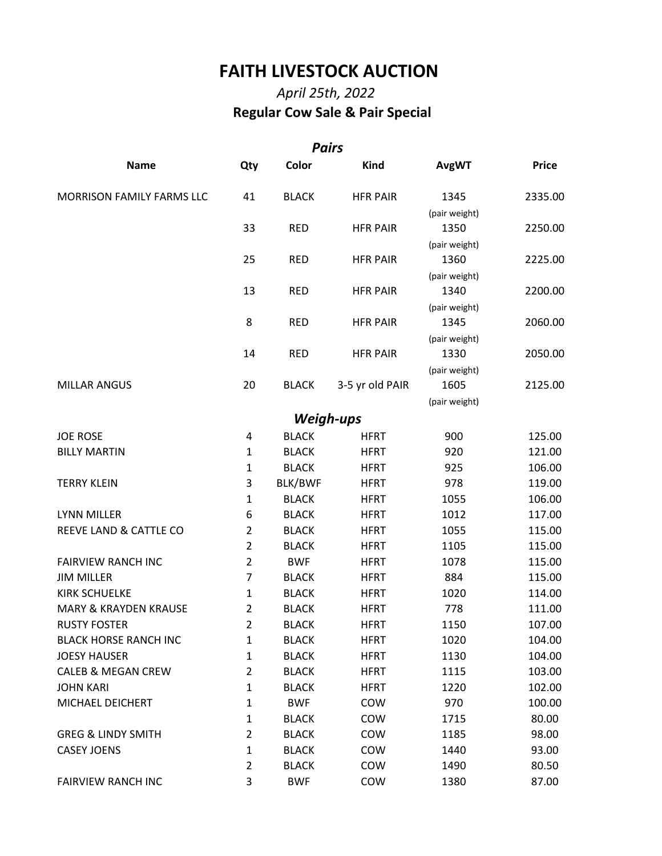## **FAITH LIVESTOCK AUCTION**

## *April 25th, 2022*   **Regular Cow Sale & Pair Special**

| <b>Pairs</b>                     |                |              |                 |               |              |  |  |  |  |  |
|----------------------------------|----------------|--------------|-----------------|---------------|--------------|--|--|--|--|--|
| <b>Name</b>                      | Qty            | Color        | <b>Kind</b>     | <b>AvgWT</b>  | <b>Price</b> |  |  |  |  |  |
| MORRISON FAMILY FARMS LLC        | 41             | <b>BLACK</b> | <b>HFR PAIR</b> | 1345          | 2335.00      |  |  |  |  |  |
|                                  |                |              |                 | (pair weight) |              |  |  |  |  |  |
|                                  | 33             | <b>RED</b>   | <b>HFR PAIR</b> | 1350          | 2250.00      |  |  |  |  |  |
|                                  |                |              |                 | (pair weight) |              |  |  |  |  |  |
|                                  | 25             | <b>RED</b>   | <b>HFR PAIR</b> | 1360          | 2225.00      |  |  |  |  |  |
|                                  |                |              |                 | (pair weight) |              |  |  |  |  |  |
|                                  | 13             | <b>RED</b>   | <b>HFR PAIR</b> | 1340          | 2200.00      |  |  |  |  |  |
|                                  |                |              |                 | (pair weight) |              |  |  |  |  |  |
|                                  | 8              | <b>RED</b>   | <b>HFR PAIR</b> | 1345          | 2060.00      |  |  |  |  |  |
|                                  |                |              |                 | (pair weight) |              |  |  |  |  |  |
|                                  | 14             | <b>RED</b>   | <b>HFR PAIR</b> | 1330          | 2050.00      |  |  |  |  |  |
|                                  |                |              |                 | (pair weight) |              |  |  |  |  |  |
| <b>MILLAR ANGUS</b>              | 20             | <b>BLACK</b> | 3-5 yr old PAIR | 1605          | 2125.00      |  |  |  |  |  |
|                                  |                |              |                 | (pair weight) |              |  |  |  |  |  |
|                                  |                | Weigh-ups    |                 |               |              |  |  |  |  |  |
| <b>JOE ROSE</b>                  | 4              | <b>BLACK</b> | <b>HFRT</b>     | 900           | 125.00       |  |  |  |  |  |
| <b>BILLY MARTIN</b>              | $\mathbf{1}$   | <b>BLACK</b> | <b>HFRT</b>     | 920           | 121.00       |  |  |  |  |  |
|                                  | $\mathbf{1}$   | <b>BLACK</b> | <b>HFRT</b>     | 925           | 106.00       |  |  |  |  |  |
| <b>TERRY KLEIN</b>               | 3              | BLK/BWF      | <b>HFRT</b>     | 978           | 119.00       |  |  |  |  |  |
|                                  | $\mathbf{1}$   | <b>BLACK</b> | <b>HFRT</b>     | 1055          | 106.00       |  |  |  |  |  |
| <b>LYNN MILLER</b>               | 6              | <b>BLACK</b> | <b>HFRT</b>     | 1012          | 117.00       |  |  |  |  |  |
| REEVE LAND & CATTLE CO           | $\overline{2}$ | <b>BLACK</b> | <b>HFRT</b>     | 1055          | 115.00       |  |  |  |  |  |
|                                  | $\overline{2}$ | <b>BLACK</b> | <b>HFRT</b>     | 1105          | 115.00       |  |  |  |  |  |
| <b>FAIRVIEW RANCH INC</b>        | $\overline{2}$ | <b>BWF</b>   | <b>HFRT</b>     | 1078          | 115.00       |  |  |  |  |  |
| <b>JIM MILLER</b>                | $\overline{7}$ | <b>BLACK</b> | <b>HFRT</b>     | 884           | 115.00       |  |  |  |  |  |
| <b>KIRK SCHUELKE</b>             | 1              | <b>BLACK</b> | <b>HFRT</b>     | 1020          | 114.00       |  |  |  |  |  |
| <b>MARY &amp; KRAYDEN KRAUSE</b> | $\overline{2}$ | <b>BLACK</b> | <b>HFRT</b>     | 778           | 111.00       |  |  |  |  |  |
| <b>RUSTY FOSTER</b>              | 2              | <b>BLACK</b> | <b>HFRT</b>     | 1150          | 107.00       |  |  |  |  |  |
| <b>BLACK HORSE RANCH INC</b>     | $\mathbf{1}$   | <b>BLACK</b> | <b>HFRT</b>     | 1020          | 104.00       |  |  |  |  |  |
| <b>JOESY HAUSER</b>              | 1              | <b>BLACK</b> | <b>HFRT</b>     | 1130          | 104.00       |  |  |  |  |  |
| <b>CALEB &amp; MEGAN CREW</b>    | $\overline{2}$ | <b>BLACK</b> | <b>HFRT</b>     | 1115          | 103.00       |  |  |  |  |  |
| <b>JOHN KARI</b>                 | 1              | <b>BLACK</b> | <b>HFRT</b>     | 1220          | 102.00       |  |  |  |  |  |
| MICHAEL DEICHERT                 | 1              | <b>BWF</b>   | COW             | 970           | 100.00       |  |  |  |  |  |
|                                  | $\mathbf{1}$   | <b>BLACK</b> | COW             | 1715          | 80.00        |  |  |  |  |  |
| <b>GREG &amp; LINDY SMITH</b>    | $\overline{2}$ | <b>BLACK</b> | COW             | 1185          | 98.00        |  |  |  |  |  |
| <b>CASEY JOENS</b>               | $\mathbf{1}$   | <b>BLACK</b> | COW             | 1440          | 93.00        |  |  |  |  |  |
|                                  | $\overline{2}$ | <b>BLACK</b> | COW             | 1490          | 80.50        |  |  |  |  |  |
| <b>FAIRVIEW RANCH INC</b>        | 3              | <b>BWF</b>   | COW             | 1380          | 87.00        |  |  |  |  |  |